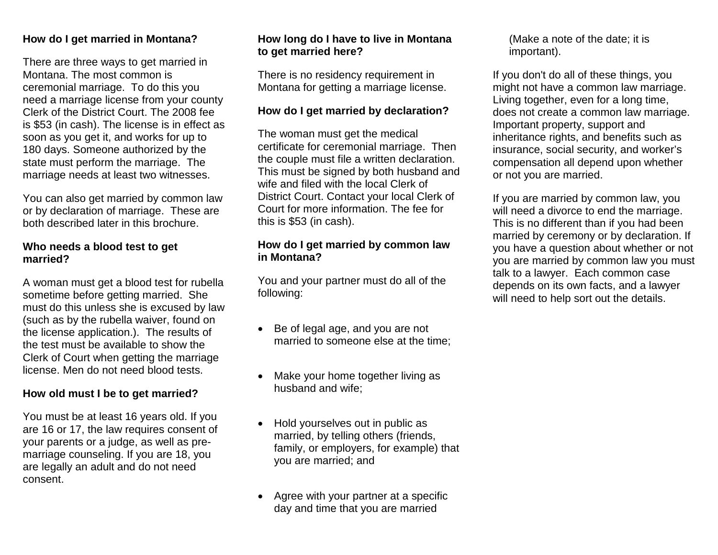#### **How do I get married in Montana?**

There are three ways to get married in Montana. The most common is ceremonial marriage. To do this you need a marriage license from your county Clerk of the District Court. The 2008 fee is \$53 (in cash). The license is in effect as soon as you get it, and works for up to 180 days. Someone authorized by the state must perform the marriage. The marriage needs at least two witnesses.

You can also get married by common law or by declaration of marriage. These are both described later in this brochure.

#### **Who needs a blood test to get married?**

A woman must get a blood test for rubella sometime before getting married. She must do this unless she is excused by law (such as by the rubella waiver, found on the license application.). The results of the test must be available to show the Clerk of Court when getting the marriage license. Men do not need blood tests.

#### **How old must I be to get married?**

You must be at least 16 years old. If you are 16 or 17, the law requires consent of your parents or a judge, as well as premarriage counseling. If you are 18, you are legally an adult and do not need consent.

#### **How long do I have to live in Montana to get married here?**

There is no residency requirement in Montana for getting a marriage license.

#### **How do I get married by declaration?**

The woman must get the medical certificate for ceremonial marriage. Then the couple must file a written declaration. This must be signed by both husband and wife and filed with the local Clerk of District Court. Contact your local Clerk of Court for more information. The fee for this is \$53 (in cash).

#### **How do I get married by common law in Montana?**

You and your partner must do all of the following:

- Be of legal age, and you are not married to someone else at the time;
- Make your home together living as husband and wife;
- Hold yourselves out in public as married, by telling others (friends, family, or employers, for example) that you are married; and
- Agree with your partner at a specific day and time that you are married

(Make a note of the date; it is important).

If you don't do all of these things, you might not have a common law marriage. Living together, even for a long time, does not create a common law marriage. Important property, support and inheritance rights, and benefits such as insurance, social security, and worker's compensation all depend upon whether or not you are married.

If you are married by common law, you will need a divorce to end the marriage. This is no different than if you had been married by ceremony or by declaration. If you have a question about whether or not you are married by common law you must talk to a lawyer. Each common case depends on its own facts, and a lawyer will need to help sort out the details.